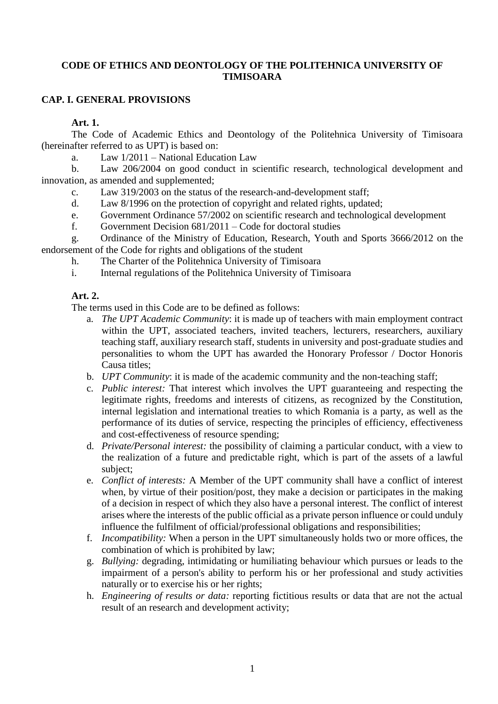# **CODE OF ETHICS AND DEONTOLOGY OF THE POLITEHNICA UNIVERSITY OF TIMISOARA**

# **CAP. I. GENERAL PROVISIONS**

**Art. 1.** 

The Code of Academic Ethics and Deontology of the Politehnica University of Timisoara (hereinafter referred to as UPT) is based on:

a. Law 1/2011 – National Education Law

b. Law 206/2004 on good conduct in scientific research, technological development and innovation, as amended and supplemented;

- c. Law 319/2003 on the status of the research-and-development staff;
- d. Law 8/1996 on the protection of copyright and related rights, updated;
- e. Government Ordinance 57/2002 on scientific research and technological development
- f. Government Decision 681/2011 Code for doctoral studies
- g. Ordinance of the Ministry of Education, Research, Youth and Sports 3666/2012 on the endorsement of the Code for rights and obligations of the student
	- h. The Charter of the Politehnica University of Timisoara
	- i. Internal regulations of the Politehnica University of Timisoara

# **Art. 2.**

The terms used in this Code are to be defined as follows:

- a. *The UPT Academic Community*: it is made up of teachers with main employment contract within the UPT, associated teachers, invited teachers, lecturers, researchers, auxiliary teaching staff, auxiliary research staff, students in university and post-graduate studies and personalities to whom the UPT has awarded the Honorary Professor / Doctor Honoris Causa titles;
- b. *UPT Community*: it is made of the academic community and the non-teaching staff;
- c. *Public interest:* That interest which involves the UPT guaranteeing and respecting the legitimate rights, freedoms and interests of citizens, as recognized by the Constitution, internal legislation and international treaties to which Romania is a party, as well as the performance of its duties of service, respecting the principles of efficiency, effectiveness and cost-effectiveness of resource spending;
- d. *Private/Personal interest:* the possibility of claiming a particular conduct, with a view to the realization of a future and predictable right, which is part of the assets of a lawful subject;
- e. *Conflict of interests:* A Member of the UPT community shall have a conflict of interest when, by virtue of their position/post, they make a decision or participates in the making of a decision in respect of which they also have a personal interest. The conflict of interest arises where the interests of the public official as a private person influence or could unduly influence the fulfilment of official/professional obligations and responsibilities;
- f. *Incompatibility:* When a person in the UPT simultaneously holds two or more offices, the combination of which is prohibited by law;
- g. *Bullying:* degrading, intimidating or humiliating behaviour which pursues or leads to the impairment of a person's ability to perform his or her professional and study activities naturally or to exercise his or her rights;
- h. *Engineering of results or data:* reporting fictitious results or data that are not the actual result of an research and development activity;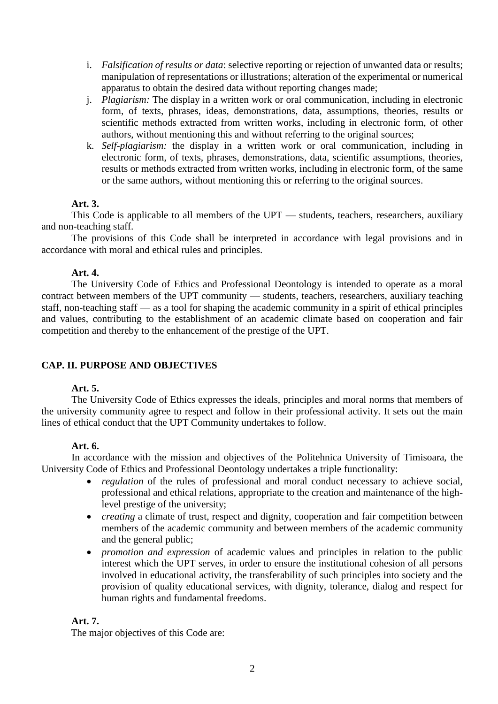- i. *Falsification of results or data*: selective reporting or rejection of unwanted data or results; manipulation of representations or illustrations; alteration of the experimental or numerical apparatus to obtain the desired data without reporting changes made;
- j. *Plagiarism:* The display in a written work or oral communication, including in electronic form, of texts, phrases, ideas, demonstrations, data, assumptions, theories, results or scientific methods extracted from written works, including in electronic form, of other authors, without mentioning this and without referring to the original sources;
- k. *Self-plagiarism:* the display in a written work or oral communication, including in electronic form, of texts, phrases, demonstrations, data, scientific assumptions, theories, results or methods extracted from written works, including in electronic form, of the same or the same authors, without mentioning this or referring to the original sources.

# **Art. 3.**

This Code is applicable to all members of the UPT — students, teachers, researchers, auxiliary and non-teaching staff.

The provisions of this Code shall be interpreted in accordance with legal provisions and in accordance with moral and ethical rules and principles.

# **Art. 4.**

The University Code of Ethics and Professional Deontology is intended to operate as a moral contract between members of the UPT community — students, teachers, researchers, auxiliary teaching staff, non-teaching staff — as a tool for shaping the academic community in a spirit of ethical principles and values, contributing to the establishment of an academic climate based on cooperation and fair competition and thereby to the enhancement of the prestige of the UPT.

# **CAP. II. PURPOSE AND OBJECTIVES**

# **Art. 5.**

The University Code of Ethics expresses the ideals, principles and moral norms that members of the university community agree to respect and follow in their professional activity. It sets out the main lines of ethical conduct that the UPT Community undertakes to follow.

# **Art. 6.**

In accordance with the mission and objectives of the Politehnica University of Timisoara, the University Code of Ethics and Professional Deontology undertakes a triple functionality:

- *regulation* of the rules of professional and moral conduct necessary to achieve social, professional and ethical relations, appropriate to the creation and maintenance of the highlevel prestige of the university;
- *creating* a climate of trust, respect and dignity, cooperation and fair competition between members of the academic community and between members of the academic community and the general public;
- *promotion and expression* of academic values and principles in relation to the public interest which the UPT serves, in order to ensure the institutional cohesion of all persons involved in educational activity, the transferability of such principles into society and the provision of quality educational services, with dignity, tolerance, dialog and respect for human rights and fundamental freedoms.

# **Art. 7.**

The major objectives of this Code are: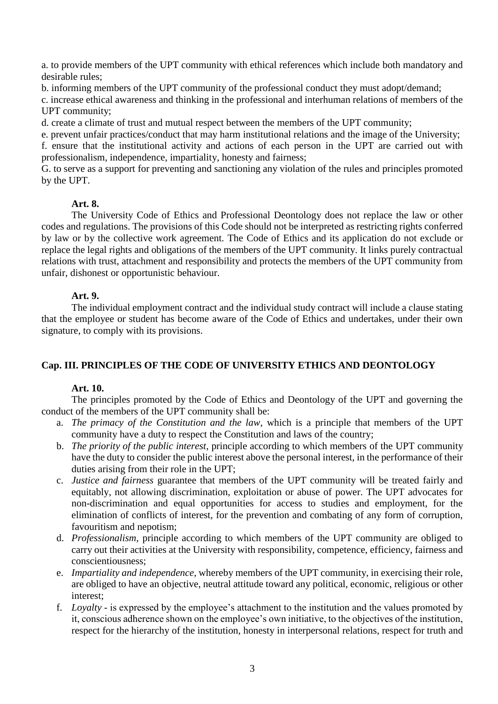a. to provide members of the UPT community with ethical references which include both mandatory and desirable rules;

b. informing members of the UPT community of the professional conduct they must adopt/demand;

c. increase ethical awareness and thinking in the professional and interhuman relations of members of the UPT community;

d. create a climate of trust and mutual respect between the members of the UPT community;

e. prevent unfair practices/conduct that may harm institutional relations and the image of the University;

f. ensure that the institutional activity and actions of each person in the UPT are carried out with professionalism, independence, impartiality, honesty and fairness;

G. to serve as a support for preventing and sanctioning any violation of the rules and principles promoted by the UPT.

# **Art. 8.**

The University Code of Ethics and Professional Deontology does not replace the law or other codes and regulations. The provisions of this Code should not be interpreted as restricting rights conferred by law or by the collective work agreement. The Code of Ethics and its application do not exclude or replace the legal rights and obligations of the members of the UPT community. It links purely contractual relations with trust, attachment and responsibility and protects the members of the UPT community from unfair, dishonest or opportunistic behaviour.

# **Art. 9.**

The individual employment contract and the individual study contract will include a clause stating that the employee or student has become aware of the Code of Ethics and undertakes, under their own signature, to comply with its provisions.

# **Cap. III. PRINCIPLES OF THE CODE OF UNIVERSITY ETHICS AND DEONTOLOGY**

# **Art. 10.**

The principles promoted by the Code of Ethics and Deontology of the UPT and governing the conduct of the members of the UPT community shall be:

- a. *The primacy of the Constitution and the law*, which is a principle that members of the UPT community have a duty to respect the Constitution and laws of the country;
- b. *The priority of the public interest*, principle according to which members of the UPT community have the duty to consider the public interest above the personal interest, in the performance of their duties arising from their role in the UPT;
- c. *Justice and fairness* guarantee that members of the UPT community will be treated fairly and equitably, not allowing discrimination, exploitation or abuse of power. The UPT advocates for non-discrimination and equal opportunities for access to studies and employment, for the elimination of conflicts of interest, for the prevention and combating of any form of corruption, favouritism and nepotism;
- d. *Professionalism*, principle according to which members of the UPT community are obliged to carry out their activities at the University with responsibility, competence, efficiency, fairness and conscientiousness;
- e. *Impartiality and independence*, whereby members of the UPT community, in exercising their role, are obliged to have an objective, neutral attitude toward any political, economic, religious or other interest;
- f. *Loyalty* is expressed by the employee's attachment to the institution and the values promoted by it, conscious adherence shown on the employee's own initiative, to the objectives of the institution, respect for the hierarchy of the institution, honesty in interpersonal relations, respect for truth and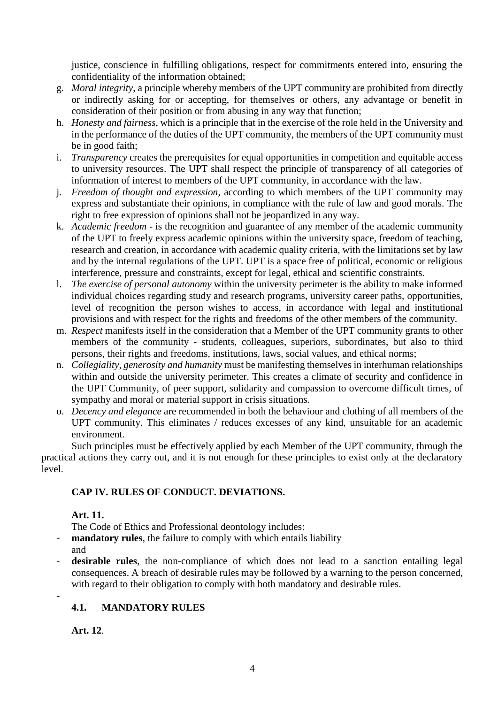justice, conscience in fulfilling obligations, respect for commitments entered into, ensuring the confidentiality of the information obtained;

- g. *Moral integrity*, a principle whereby members of the UPT community are prohibited from directly or indirectly asking for or accepting, for themselves or others, any advantage or benefit in consideration of their position or from abusing in any way that function;
- h. *Honesty and fairness*, which is a principle that in the exercise of the role held in the University and in the performance of the duties of the UPT community, the members of the UPT community must be in good faith;
- i. *Transparency* creates the prerequisites for equal opportunities in competition and equitable access to university resources. The UPT shall respect the principle of transparency of all categories of information of interest to members of the UPT community, in accordance with the law.
- j. *Freedom of thought and expression*, according to which members of the UPT community may express and substantiate their opinions, in compliance with the rule of law and good morals. The right to free expression of opinions shall not be jeopardized in any way.
- k. *Academic freedom* is the recognition and guarantee of any member of the academic community of the UPT to freely express academic opinions within the university space, freedom of teaching, research and creation, in accordance with academic quality criteria, with the limitations set by law and by the internal regulations of the UPT. UPT is a space free of political, economic or religious interference, pressure and constraints, except for legal, ethical and scientific constraints.
- l. *The exercise of personal autonomy* within the university perimeter is the ability to make informed individual choices regarding study and research programs, university career paths, opportunities, level of recognition the person wishes to access, in accordance with legal and institutional provisions and with respect for the rights and freedoms of the other members of the community.
- m. *Respect* manifests itself in the consideration that a Member of the UPT community grants to other members of the community - students, colleagues, superiors, subordinates, but also to third persons, their rights and freedoms, institutions, laws, social values, and ethical norms;
- n. *Collegiality, generosity and humanity* must be manifesting themselves in interhuman relationships within and outside the university perimeter. This creates a climate of security and confidence in the UPT Community, of peer support, solidarity and compassion to overcome difficult times, of sympathy and moral or material support in crisis situations.
- o. *Decency and elegance* are recommended in both the behaviour and clothing of all members of the UPT community. This eliminates / reduces excesses of any kind, unsuitable for an academic environment.

Such principles must be effectively applied by each Member of the UPT community, through the practical actions they carry out, and it is not enough for these principles to exist only at the declaratory level.

# **CAP IV. RULES OF CONDUCT. DEVIATIONS.**

**Art. 11.**

The Code of Ethics and Professional deontology includes:

- **mandatory rules**, the failure to comply with which entails liability

and

-

desirable rules, the non-compliance of which does not lead to a sanction entailing legal consequences. A breach of desirable rules may be followed by a warning to the person concerned, with regard to their obligation to comply with both mandatory and desirable rules.

# **4.1. MANDATORY RULES**

**Art. 12**.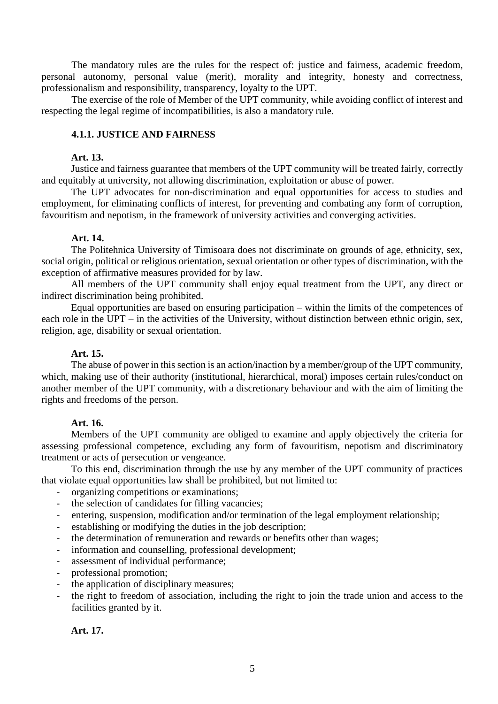The mandatory rules are the rules for the respect of: justice and fairness, academic freedom, personal autonomy, personal value (merit), morality and integrity, honesty and correctness, professionalism and responsibility, transparency, loyalty to the UPT.

The exercise of the role of Member of the UPT community, while avoiding conflict of interest and respecting the legal regime of incompatibilities, is also a mandatory rule.

# **4.1.1. JUSTICE AND FAIRNESS**

#### **Art. 13.**

Justice and fairness guarantee that members of the UPT community will be treated fairly, correctly and equitably at university, not allowing discrimination, exploitation or abuse of power.

The UPT advocates for non-discrimination and equal opportunities for access to studies and employment, for eliminating conflicts of interest, for preventing and combating any form of corruption, favouritism and nepotism, in the framework of university activities and converging activities.

#### **Art. 14.**

The Politehnica University of Timisoara does not discriminate on grounds of age, ethnicity, sex, social origin, political or religious orientation, sexual orientation or other types of discrimination, with the exception of affirmative measures provided for by law.

All members of the UPT community shall enjoy equal treatment from the UPT, any direct or indirect discrimination being prohibited.

Equal opportunities are based on ensuring participation – within the limits of the competences of each role in the UPT – in the activities of the University, without distinction between ethnic origin, sex, religion, age, disability or sexual orientation.

# **Art. 15.**

The abuse of power in this section is an action/inaction by a member/group of the UPT community, which, making use of their authority (institutional, hierarchical, moral) imposes certain rules/conduct on another member of the UPT community, with a discretionary behaviour and with the aim of limiting the rights and freedoms of the person.

#### **Art. 16.**

Members of the UPT community are obliged to examine and apply objectively the criteria for assessing professional competence, excluding any form of favouritism, nepotism and discriminatory treatment or acts of persecution or vengeance.

To this end, discrimination through the use by any member of the UPT community of practices that violate equal opportunities law shall be prohibited, but not limited to:

- organizing competitions or examinations;
- the selection of candidates for filling vacancies;
- entering, suspension, modification and/or termination of the legal employment relationship;
- establishing or modifying the duties in the job description;
- the determination of remuneration and rewards or benefits other than wages;
- information and counselling, professional development;
- assessment of individual performance;
- professional promotion;
- the application of disciplinary measures;
- the right to freedom of association, including the right to join the trade union and access to the facilities granted by it.

**Art. 17.**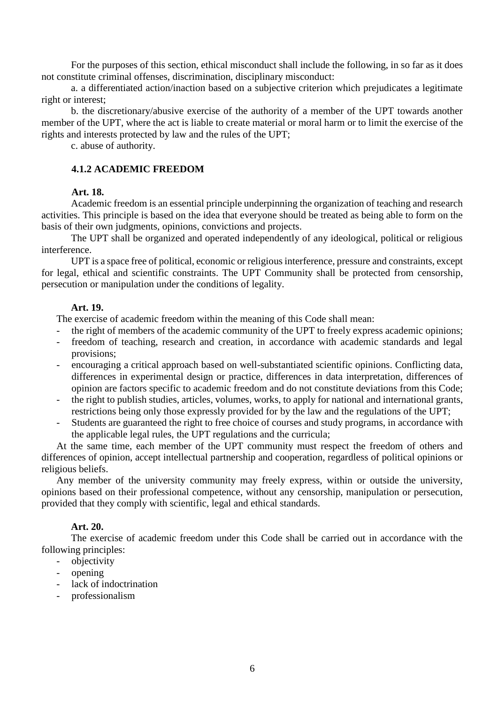For the purposes of this section, ethical misconduct shall include the following, in so far as it does not constitute criminal offenses, discrimination, disciplinary misconduct:

a. a differentiated action/inaction based on a subjective criterion which prejudicates a legitimate right or interest;

b. the discretionary/abusive exercise of the authority of a member of the UPT towards another member of the UPT, where the act is liable to create material or moral harm or to limit the exercise of the rights and interests protected by law and the rules of the UPT;

c. abuse of authority.

# **4.1.2 ACADEMIC FREEDOM**

# **Art. 18.**

Academic freedom is an essential principle underpinning the organization of teaching and research activities. This principle is based on the idea that everyone should be treated as being able to form on the basis of their own judgments, opinions, convictions and projects.

The UPT shall be organized and operated independently of any ideological, political or religious interference.

UPT is a space free of political, economic or religious interference, pressure and constraints, except for legal, ethical and scientific constraints. The UPT Community shall be protected from censorship, persecution or manipulation under the conditions of legality.

# **Art. 19.**

The exercise of academic freedom within the meaning of this Code shall mean:

- the right of members of the academic community of the UPT to freely express academic opinions;
- freedom of teaching, research and creation, in accordance with academic standards and legal provisions;
- encouraging a critical approach based on well-substantiated scientific opinions. Conflicting data, differences in experimental design or practice, differences in data interpretation, differences of opinion are factors specific to academic freedom and do not constitute deviations from this Code;
- the right to publish studies, articles, volumes, works, to apply for national and international grants, restrictions being only those expressly provided for by the law and the regulations of the UPT;
- Students are guaranteed the right to free choice of courses and study programs, in accordance with the applicable legal rules, the UPT regulations and the curricula;

At the same time, each member of the UPT community must respect the freedom of others and differences of opinion, accept intellectual partnership and cooperation, regardless of political opinions or religious beliefs.

Any member of the university community may freely express, within or outside the university, opinions based on their professional competence, without any censorship, manipulation or persecution, provided that they comply with scientific, legal and ethical standards.

# **Art. 20.**

The exercise of academic freedom under this Code shall be carried out in accordance with the following principles:

- objectivity
- opening
- lack of indoctrination
- professionalism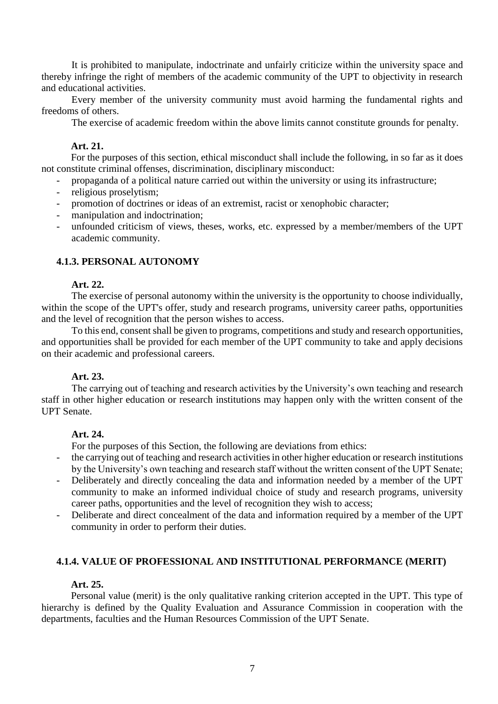It is prohibited to manipulate, indoctrinate and unfairly criticize within the university space and thereby infringe the right of members of the academic community of the UPT to objectivity in research and educational activities.

Every member of the university community must avoid harming the fundamental rights and freedoms of others.

The exercise of academic freedom within the above limits cannot constitute grounds for penalty.

# **Art. 21.**

For the purposes of this section, ethical misconduct shall include the following, in so far as it does not constitute criminal offenses, discrimination, disciplinary misconduct:

- propaganda of a political nature carried out within the university or using its infrastructure;
- religious proselytism;
- promotion of doctrines or ideas of an extremist, racist or xenophobic character;
- manipulation and indoctrination;
- unfounded criticism of views, theses, works, etc. expressed by a member/members of the UPT academic community.

# **4.1.3. PERSONAL AUTONOMY**

# **Art. 22.**

The exercise of personal autonomy within the university is the opportunity to choose individually, within the scope of the UPT's offer, study and research programs, university career paths, opportunities and the level of recognition that the person wishes to access.

To this end, consent shall be given to programs, competitions and study and research opportunities, and opportunities shall be provided for each member of the UPT community to take and apply decisions on their academic and professional careers.

# **Art. 23.**

The carrying out of teaching and research activities by the University's own teaching and research staff in other higher education or research institutions may happen only with the written consent of the UPT Senate.

# **Art. 24.**

For the purposes of this Section, the following are deviations from ethics:

- the carrying out of teaching and research activities in other higher education or research institutions by the University's own teaching and research staff without the written consent of the UPT Senate;
- Deliberately and directly concealing the data and information needed by a member of the UPT community to make an informed individual choice of study and research programs, university career paths, opportunities and the level of recognition they wish to access;
- Deliberate and direct concealment of the data and information required by a member of the UPT community in order to perform their duties.

# **4.1.4. VALUE OF PROFESSIONAL AND INSTITUTIONAL PERFORMANCE (MERIT)**

# **Art. 25.**

Personal value (merit) is the only qualitative ranking criterion accepted in the UPT. This type of hierarchy is defined by the Quality Evaluation and Assurance Commission in cooperation with the departments, faculties and the Human Resources Commission of the UPT Senate.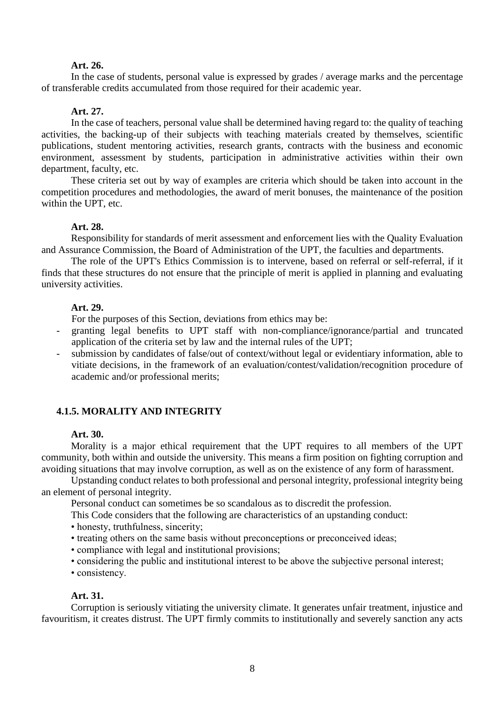# **Art. 26.**

In the case of students, personal value is expressed by grades / average marks and the percentage of transferable credits accumulated from those required for their academic year.

#### **Art. 27.**

In the case of teachers, personal value shall be determined having regard to: the quality of teaching activities, the backing-up of their subjects with teaching materials created by themselves, scientific publications, student mentoring activities, research grants, contracts with the business and economic environment, assessment by students, participation in administrative activities within their own department, faculty, etc.

These criteria set out by way of examples are criteria which should be taken into account in the competition procedures and methodologies, the award of merit bonuses, the maintenance of the position within the UPT, etc.

#### **Art. 28.**

Responsibility for standards of merit assessment and enforcement lies with the Quality Evaluation and Assurance Commission, the Board of Administration of the UPT, the faculties and departments.

The role of the UPT's Ethics Commission is to intervene, based on referral or self-referral, if it finds that these structures do not ensure that the principle of merit is applied in planning and evaluating university activities.

#### **Art. 29.**

For the purposes of this Section, deviations from ethics may be:

- granting legal benefits to UPT staff with non-compliance/ignorance/partial and truncated application of the criteria set by law and the internal rules of the UPT;
- submission by candidates of false/out of context/without legal or evidentiary information, able to vitiate decisions, in the framework of an evaluation/contest/validation/recognition procedure of academic and/or professional merits;

# **4.1.5. MORALITY AND INTEGRITY**

#### **Art. 30.**

Morality is a major ethical requirement that the UPT requires to all members of the UPT community, both within and outside the university. This means a firm position on fighting corruption and avoiding situations that may involve corruption, as well as on the existence of any form of harassment.

Upstanding conduct relates to both professional and personal integrity, professional integrity being an element of personal integrity.

Personal conduct can sometimes be so scandalous as to discredit the profession.

This Code considers that the following are characteristics of an upstanding conduct:

- honesty, truthfulness, sincerity;
- treating others on the same basis without preconceptions or preconceived ideas;
- compliance with legal and institutional provisions;
- considering the public and institutional interest to be above the subjective personal interest;
- consistency.

#### **Art. 31.**

Corruption is seriously vitiating the university climate. It generates unfair treatment, injustice and favouritism, it creates distrust. The UPT firmly commits to institutionally and severely sanction any acts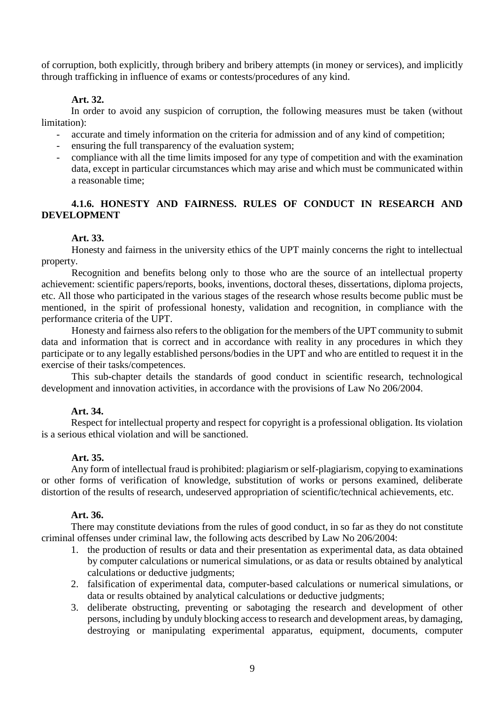of corruption, both explicitly, through bribery and bribery attempts (in money or services), and implicitly through trafficking in influence of exams or contests/procedures of any kind.

# **Art. 32.**

In order to avoid any suspicion of corruption, the following measures must be taken (without limitation):

- accurate and timely information on the criteria for admission and of any kind of competition;
- ensuring the full transparency of the evaluation system;
- compliance with all the time limits imposed for any type of competition and with the examination data, except in particular circumstances which may arise and which must be communicated within a reasonable time;

# **4.1.6. HONESTY AND FAIRNESS. RULES OF CONDUCT IN RESEARCH AND DEVELOPMENT**

#### **Art. 33.**

Honesty and fairness in the university ethics of the UPT mainly concerns the right to intellectual property.

Recognition and benefits belong only to those who are the source of an intellectual property achievement: scientific papers/reports, books, inventions, doctoral theses, dissertations, diploma projects, etc. All those who participated in the various stages of the research whose results become public must be mentioned, in the spirit of professional honesty, validation and recognition, in compliance with the performance criteria of the UPT.

Honesty and fairness also refers to the obligation for the members of the UPT community to submit data and information that is correct and in accordance with reality in any procedures in which they participate or to any legally established persons/bodies in the UPT and who are entitled to request it in the exercise of their tasks/competences.

This sub-chapter details the standards of good conduct in scientific research, technological development and innovation activities, in accordance with the provisions of Law No 206/2004.

# **Art. 34.**

Respect for intellectual property and respect for copyright is a professional obligation. Its violation is a serious ethical violation and will be sanctioned.

#### **Art. 35.**

Any form of intellectual fraud is prohibited: plagiarism or self-plagiarism, copying to examinations or other forms of verification of knowledge, substitution of works or persons examined, deliberate distortion of the results of research, undeserved appropriation of scientific/technical achievements, etc.

#### **Art. 36.**

There may constitute deviations from the rules of good conduct, in so far as they do not constitute criminal offenses under criminal law, the following acts described by Law No 206/2004:

- 1. the production of results or data and their presentation as experimental data, as data obtained by computer calculations or numerical simulations, or as data or results obtained by analytical calculations or deductive judgments;
- 2. falsification of experimental data, computer-based calculations or numerical simulations, or data or results obtained by analytical calculations or deductive judgments;
- 3. deliberate obstructing, preventing or sabotaging the research and development of other persons, including by unduly blocking access to research and development areas, by damaging, destroying or manipulating experimental apparatus, equipment, documents, computer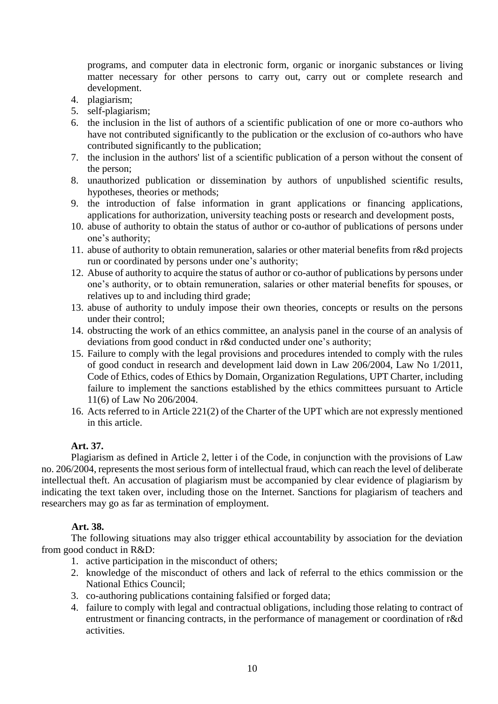programs, and computer data in electronic form, organic or inorganic substances or living matter necessary for other persons to carry out, carry out or complete research and development.

- 4. plagiarism;
- 5. self-plagiarism;
- 6. the inclusion in the list of authors of a scientific publication of one or more co-authors who have not contributed significantly to the publication or the exclusion of co-authors who have contributed significantly to the publication;
- 7. the inclusion in the authors' list of a scientific publication of a person without the consent of the person;
- 8. unauthorized publication or dissemination by authors of unpublished scientific results, hypotheses, theories or methods;
- 9. the introduction of false information in grant applications or financing applications, applications for authorization, university teaching posts or research and development posts,
- 10. abuse of authority to obtain the status of author or co-author of publications of persons under one's authority;
- 11. abuse of authority to obtain remuneration, salaries or other material benefits from r&d projects run or coordinated by persons under one's authority;
- 12. Abuse of authority to acquire the status of author or co-author of publications by persons under one's authority, or to obtain remuneration, salaries or other material benefits for spouses, or relatives up to and including third grade;
- 13. abuse of authority to unduly impose their own theories, concepts or results on the persons under their control;
- 14. obstructing the work of an ethics committee, an analysis panel in the course of an analysis of deviations from good conduct in r&d conducted under one's authority;
- 15. Failure to comply with the legal provisions and procedures intended to comply with the rules of good conduct in research and development laid down in Law 206/2004, Law No 1/2011, Code of Ethics, codes of Ethics by Domain, Organization Regulations, UPT Charter, including failure to implement the sanctions established by the ethics committees pursuant to Article 11(6) of Law No 206/2004.
- 16. Acts referred to in Article 221(2) of the Charter of the UPT which are not expressly mentioned in this article.

# **Art. 37.**

Plagiarism as defined in Article 2, letter i of the Code, in conjunction with the provisions of Law no. 206/2004, represents the most serious form of intellectual fraud, which can reach the level of deliberate intellectual theft. An accusation of plagiarism must be accompanied by clear evidence of plagiarism by indicating the text taken over, including those on the Internet. Sanctions for plagiarism of teachers and researchers may go as far as termination of employment.

# **Art. 38.**

The following situations may also trigger ethical accountability by association for the deviation from good conduct in R&D:

- 1. active participation in the misconduct of others;
- 2. knowledge of the misconduct of others and lack of referral to the ethics commission or the National Ethics Council;
- 3. co-authoring publications containing falsified or forged data;
- 4. failure to comply with legal and contractual obligations, including those relating to contract of entrustment or financing contracts, in the performance of management or coordination of r&d activities.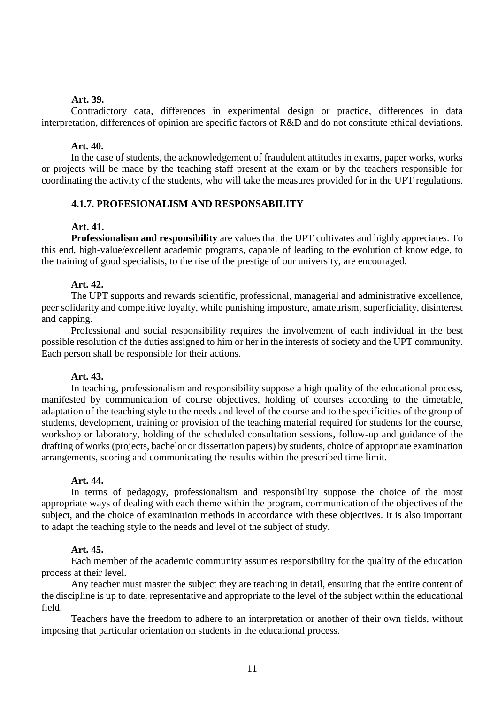#### **Art. 39.**

Contradictory data, differences in experimental design or practice, differences in data interpretation, differences of opinion are specific factors of R&D and do not constitute ethical deviations.

#### **Art. 40.**

In the case of students, the acknowledgement of fraudulent attitudes in exams, paper works, works or projects will be made by the teaching staff present at the exam or by the teachers responsible for coordinating the activity of the students, who will take the measures provided for in the UPT regulations.

# **4.1.7. PROFESIONALISM AND RESPONSABILITY**

#### **Art. 41.**

**Professionalism and responsibility** are values that the UPT cultivates and highly appreciates. To this end, high-value/excellent academic programs, capable of leading to the evolution of knowledge, to the training of good specialists, to the rise of the prestige of our university, are encouraged.

#### **Art. 42.**

The UPT supports and rewards scientific, professional, managerial and administrative excellence, peer solidarity and competitive loyalty, while punishing imposture, amateurism, superficiality, disinterest and capping.

Professional and social responsibility requires the involvement of each individual in the best possible resolution of the duties assigned to him or her in the interests of society and the UPT community. Each person shall be responsible for their actions.

#### **Art. 43.**

In teaching, professionalism and responsibility suppose a high quality of the educational process, manifested by communication of course objectives, holding of courses according to the timetable, adaptation of the teaching style to the needs and level of the course and to the specificities of the group of students, development, training or provision of the teaching material required for students for the course, workshop or laboratory, holding of the scheduled consultation sessions, follow-up and guidance of the drafting of works (projects, bachelor or dissertation papers) by students, choice of appropriate examination arrangements, scoring and communicating the results within the prescribed time limit.

#### **Art. 44.**

In terms of pedagogy, professionalism and responsibility suppose the choice of the most appropriate ways of dealing with each theme within the program, communication of the objectives of the subject, and the choice of examination methods in accordance with these objectives. It is also important to adapt the teaching style to the needs and level of the subject of study.

#### **Art. 45.**

Each member of the academic community assumes responsibility for the quality of the education process at their level.

Any teacher must master the subject they are teaching in detail, ensuring that the entire content of the discipline is up to date, representative and appropriate to the level of the subject within the educational field.

Teachers have the freedom to adhere to an interpretation or another of their own fields, without imposing that particular orientation on students in the educational process.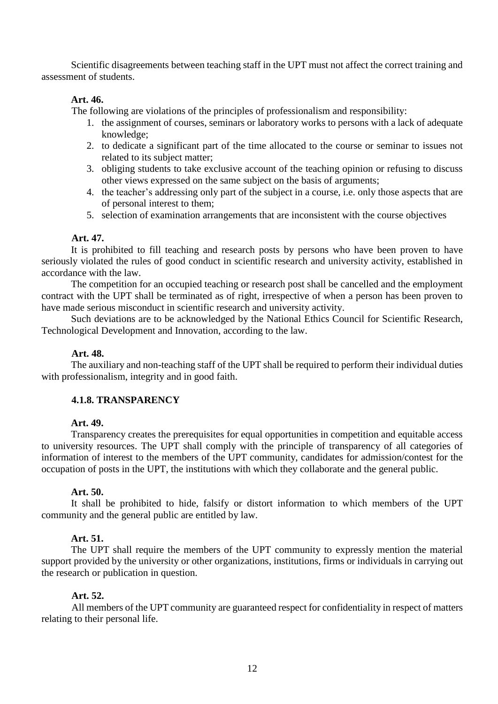Scientific disagreements between teaching staff in the UPT must not affect the correct training and assessment of students.

# **Art. 46.**

The following are violations of the principles of professionalism and responsibility:

- 1. the assignment of courses, seminars or laboratory works to persons with a lack of adequate knowledge;
- 2. to dedicate a significant part of the time allocated to the course or seminar to issues not related to its subject matter;
- 3. obliging students to take exclusive account of the teaching opinion or refusing to discuss other views expressed on the same subject on the basis of arguments;
- 4. the teacher's addressing only part of the subject in a course, i.e. only those aspects that are of personal interest to them;
- 5. selection of examination arrangements that are inconsistent with the course objectives

#### **Art. 47.**

It is prohibited to fill teaching and research posts by persons who have been proven to have seriously violated the rules of good conduct in scientific research and university activity, established in accordance with the law.

The competition for an occupied teaching or research post shall be cancelled and the employment contract with the UPT shall be terminated as of right, irrespective of when a person has been proven to have made serious misconduct in scientific research and university activity.

Such deviations are to be acknowledged by the National Ethics Council for Scientific Research, Technological Development and Innovation, according to the law.

#### **Art. 48.**

The auxiliary and non-teaching staff of the UPT shall be required to perform their individual duties with professionalism, integrity and in good faith.

## **4.1.8. TRANSPARENCY**

#### **Art. 49.**

Transparency creates the prerequisites for equal opportunities in competition and equitable access to university resources. The UPT shall comply with the principle of transparency of all categories of information of interest to the members of the UPT community, candidates for admission/contest for the occupation of posts in the UPT, the institutions with which they collaborate and the general public.

#### **Art. 50.**

It shall be prohibited to hide, falsify or distort information to which members of the UPT community and the general public are entitled by law.

#### **Art. 51.**

The UPT shall require the members of the UPT community to expressly mention the material support provided by the university or other organizations, institutions, firms or individuals in carrying out the research or publication in question.

#### **Art. 52.**

All members of the UPT community are guaranteed respect for confidentiality in respect of matters relating to their personal life.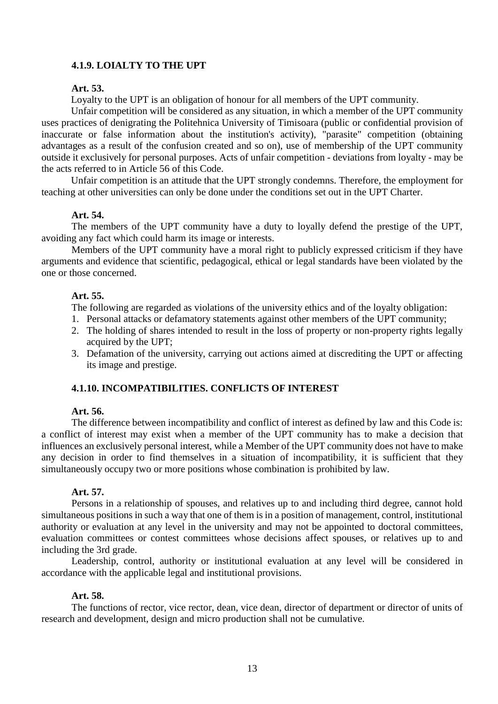# **4.1.9. LOIALTY TO THE UPT**

# **Art. 53.**

Loyalty to the UPT is an obligation of honour for all members of the UPT community.

Unfair competition will be considered as any situation, in which a member of the UPT community uses practices of denigrating the Politehnica University of Timisoara (public or confidential provision of inaccurate or false information about the institution's activity), "parasite" competition (obtaining advantages as a result of the confusion created and so on), use of membership of the UPT community outside it exclusively for personal purposes. Acts of unfair competition - deviations from loyalty - may be the acts referred to in Article 56 of this Code.

Unfair competition is an attitude that the UPT strongly condemns. Therefore, the employment for teaching at other universities can only be done under the conditions set out in the UPT Charter.

#### **Art. 54.**

The members of the UPT community have a duty to loyally defend the prestige of the UPT, avoiding any fact which could harm its image or interests.

Members of the UPT community have a moral right to publicly expressed criticism if they have arguments and evidence that scientific, pedagogical, ethical or legal standards have been violated by the one or those concerned.

#### **Art. 55.**

The following are regarded as violations of the university ethics and of the loyalty obligation:

- 1. Personal attacks or defamatory statements against other members of the UPT community;
- 2. The holding of shares intended to result in the loss of property or non-property rights legally acquired by the UPT;
- 3. Defamation of the university, carrying out actions aimed at discrediting the UPT or affecting its image and prestige.

## **4.1.10. INCOMPATIBILITIES. CONFLICTS OF INTEREST**

#### **Art. 56.**

The difference between incompatibility and conflict of interest as defined by law and this Code is: a conflict of interest may exist when a member of the UPT community has to make a decision that influences an exclusively personal interest, while a Member of the UPT community does not have to make any decision in order to find themselves in a situation of incompatibility, it is sufficient that they simultaneously occupy two or more positions whose combination is prohibited by law.

#### **Art. 57.**

Persons in a relationship of spouses, and relatives up to and including third degree, cannot hold simultaneous positions in such a way that one of them is in a position of management, control, institutional authority or evaluation at any level in the university and may not be appointed to doctoral committees, evaluation committees or contest committees whose decisions affect spouses, or relatives up to and including the 3rd grade.

Leadership, control, authority or institutional evaluation at any level will be considered in accordance with the applicable legal and institutional provisions.

#### **Art. 58.**

The functions of rector, vice rector, dean, vice dean, director of department or director of units of research and development, design and micro production shall not be cumulative.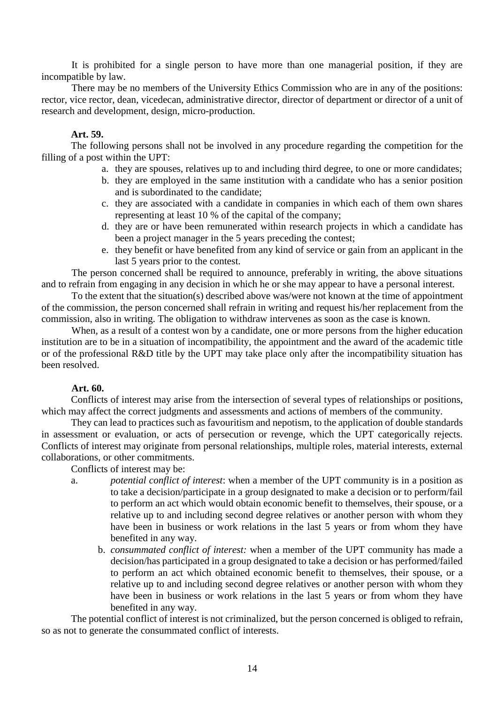It is prohibited for a single person to have more than one managerial position, if they are incompatible by law.

There may be no members of the University Ethics Commission who are in any of the positions: rector, vice rector, dean, vicedecan, administrative director, director of department or director of a unit of research and development, design, micro-production.

# **Art. 59.**

The following persons shall not be involved in any procedure regarding the competition for the filling of a post within the UPT:

- a. they are spouses, relatives up to and including third degree, to one or more candidates;
- b. they are employed in the same institution with a candidate who has a senior position and is subordinated to the candidate;
- c. they are associated with a candidate in companies in which each of them own shares representing at least 10 % of the capital of the company;
- d. they are or have been remunerated within research projects in which a candidate has been a project manager in the 5 years preceding the contest;
- e. they benefit or have benefited from any kind of service or gain from an applicant in the last 5 years prior to the contest.

The person concerned shall be required to announce, preferably in writing, the above situations and to refrain from engaging in any decision in which he or she may appear to have a personal interest.

To the extent that the situation(s) described above was/were not known at the time of appointment of the commission, the person concerned shall refrain in writing and request his/her replacement from the commission, also in writing. The obligation to withdraw intervenes as soon as the case is known.

When, as a result of a contest won by a candidate, one or more persons from the higher education institution are to be in a situation of incompatibility, the appointment and the award of the academic title or of the professional R&D title by the UPT may take place only after the incompatibility situation has been resolved.

# **Art. 60.**

Conflicts of interest may arise from the intersection of several types of relationships or positions, which may affect the correct judgments and assessments and actions of members of the community.

They can lead to practices such as favouritism and nepotism, to the application of double standards in assessment or evaluation, or acts of persecution or revenge, which the UPT categorically rejects. Conflicts of interest may originate from personal relationships, multiple roles, material interests, external collaborations, or other commitments.

Conflicts of interest may be:

- a. *potential conflict of interest*: when a member of the UPT community is in a position as to take a decision/participate in a group designated to make a decision or to perform/fail to perform an act which would obtain economic benefit to themselves, their spouse, or a relative up to and including second degree relatives or another person with whom they have been in business or work relations in the last 5 years or from whom they have benefited in any way.
	- b. *consummated conflict of interest:* when a member of the UPT community has made a decision/has participated in a group designated to take a decision or has performed/failed to perform an act which obtained economic benefit to themselves, their spouse, or a relative up to and including second degree relatives or another person with whom they have been in business or work relations in the last 5 years or from whom they have benefited in any way.

The potential conflict of interest is not criminalized, but the person concerned is obliged to refrain, so as not to generate the consummated conflict of interests.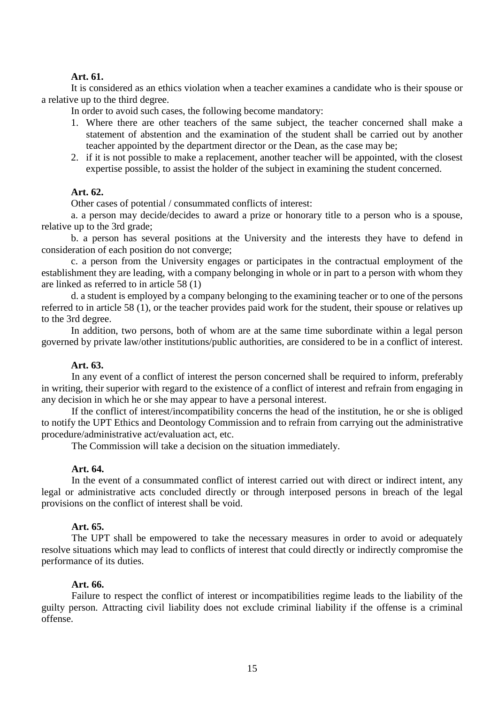#### **Art. 61.**

It is considered as an ethics violation when a teacher examines a candidate who is their spouse or a relative up to the third degree.

In order to avoid such cases, the following become mandatory:

- 1. Where there are other teachers of the same subject, the teacher concerned shall make a statement of abstention and the examination of the student shall be carried out by another teacher appointed by the department director or the Dean, as the case may be;
- 2. if it is not possible to make a replacement, another teacher will be appointed, with the closest expertise possible, to assist the holder of the subject in examining the student concerned.

# **Art. 62.**

Other cases of potential / consummated conflicts of interest:

a. a person may decide/decides to award a prize or honorary title to a person who is a spouse, relative up to the 3rd grade;

b. a person has several positions at the University and the interests they have to defend in consideration of each position do not converge;

c. a person from the University engages or participates in the contractual employment of the establishment they are leading, with a company belonging in whole or in part to a person with whom they are linked as referred to in article 58 (1)

d. a student is employed by a company belonging to the examining teacher or to one of the persons referred to in article 58 (1), or the teacher provides paid work for the student, their spouse or relatives up to the 3rd degree.

In addition, two persons, both of whom are at the same time subordinate within a legal person governed by private law/other institutions/public authorities, are considered to be in a conflict of interest.

# **Art. 63.**

In any event of a conflict of interest the person concerned shall be required to inform, preferably in writing, their superior with regard to the existence of a conflict of interest and refrain from engaging in any decision in which he or she may appear to have a personal interest.

If the conflict of interest/incompatibility concerns the head of the institution, he or she is obliged to notify the UPT Ethics and Deontology Commission and to refrain from carrying out the administrative procedure/administrative act/evaluation act, etc.

The Commission will take a decision on the situation immediately.

#### **Art. 64.**

In the event of a consummated conflict of interest carried out with direct or indirect intent, any legal or administrative acts concluded directly or through interposed persons in breach of the legal provisions on the conflict of interest shall be void.

# **Art. 65.**

The UPT shall be empowered to take the necessary measures in order to avoid or adequately resolve situations which may lead to conflicts of interest that could directly or indirectly compromise the performance of its duties.

#### **Art. 66.**

Failure to respect the conflict of interest or incompatibilities regime leads to the liability of the guilty person. Attracting civil liability does not exclude criminal liability if the offense is a criminal offense.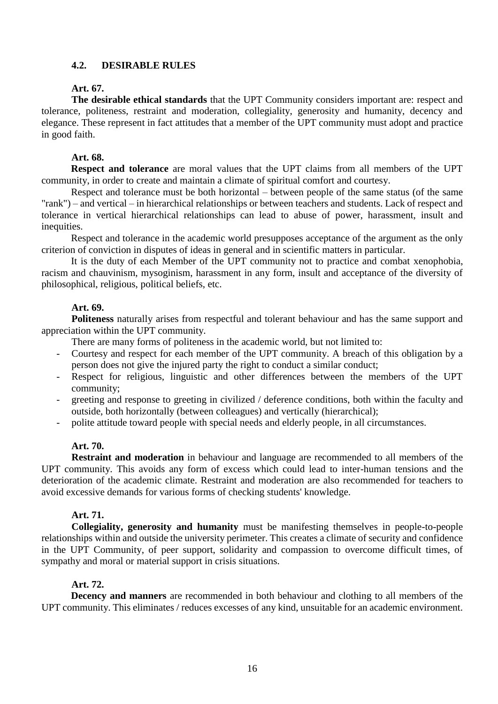# **4.2. DESIRABLE RULES**

# **Art. 67.**

**The desirable ethical standards** that the UPT Community considers important are: respect and tolerance, politeness, restraint and moderation, collegiality, generosity and humanity, decency and elegance. These represent in fact attitudes that a member of the UPT community must adopt and practice in good faith.

# **Art. 68.**

**Respect and tolerance** are moral values that the UPT claims from all members of the UPT community, in order to create and maintain a climate of spiritual comfort and courtesy.

Respect and tolerance must be both horizontal – between people of the same status (of the same "rank") – and vertical – in hierarchical relationships or between teachers and students. Lack of respect and tolerance in vertical hierarchical relationships can lead to abuse of power, harassment, insult and inequities.

Respect and tolerance in the academic world presupposes acceptance of the argument as the only criterion of conviction in disputes of ideas in general and in scientific matters in particular.

It is the duty of each Member of the UPT community not to practice and combat xenophobia, racism and chauvinism, mysoginism, harassment in any form, insult and acceptance of the diversity of philosophical, religious, political beliefs, etc.

# **Art. 69.**

**Politeness** naturally arises from respectful and tolerant behaviour and has the same support and appreciation within the UPT community.

There are many forms of politeness in the academic world, but not limited to:

- Courtesy and respect for each member of the UPT community. A breach of this obligation by a person does not give the injured party the right to conduct a similar conduct;
- Respect for religious, linguistic and other differences between the members of the UPT community;
- greeting and response to greeting in civilized / deference conditions, both within the faculty and outside, both horizontally (between colleagues) and vertically (hierarchical);
- polite attitude toward people with special needs and elderly people, in all circumstances.

# **Art. 70.**

**Restraint and moderation** in behaviour and language are recommended to all members of the UPT community. This avoids any form of excess which could lead to inter-human tensions and the deterioration of the academic climate. Restraint and moderation are also recommended for teachers to avoid excessive demands for various forms of checking students' knowledge.

# **Art. 71.**

**Collegiality, generosity and humanity** must be manifesting themselves in people-to-people relationships within and outside the university perimeter. This creates a climate of security and confidence in the UPT Community, of peer support, solidarity and compassion to overcome difficult times, of sympathy and moral or material support in crisis situations.

# **Art. 72.**

**Decency and manners** are recommended in both behaviour and clothing to all members of the UPT community. This eliminates / reduces excesses of any kind, unsuitable for an academic environment.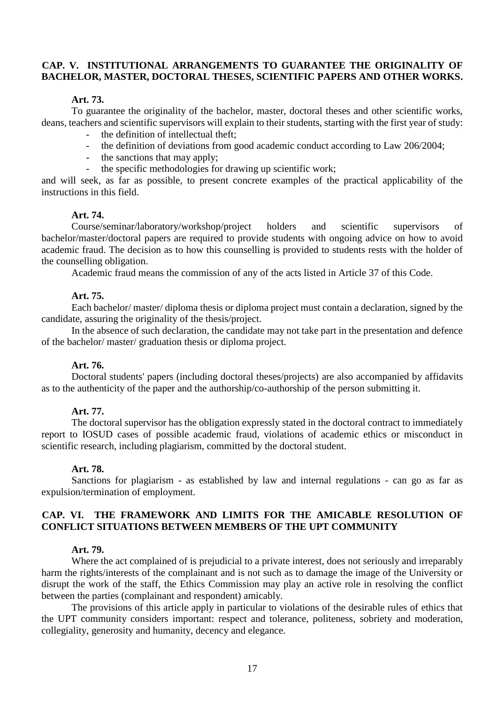# **CAP. V. INSTITUTIONAL ARRANGEMENTS TO GUARANTEE THE ORIGINALITY OF BACHELOR, MASTER, DOCTORAL THESES, SCIENTIFIC PAPERS AND OTHER WORKS.**

#### **Art. 73.**

To guarantee the originality of the bachelor, master, doctoral theses and other scientific works, deans, teachers and scientific supervisors will explain to their students, starting with the first year of study:

- the definition of intellectual theft;
- the definition of deviations from good academic conduct according to Law 206/2004;
- the sanctions that may apply;
- the specific methodologies for drawing up scientific work;

and will seek, as far as possible, to present concrete examples of the practical applicability of the instructions in this field.

#### **Art. 74.**

Course/seminar/laboratory/workshop/project holders and scientific supervisors of bachelor/master/doctoral papers are required to provide students with ongoing advice on how to avoid academic fraud. The decision as to how this counselling is provided to students rests with the holder of the counselling obligation.

Academic fraud means the commission of any of the acts listed in Article 37 of this Code.

#### **Art. 75.**

Each bachelor/ master/ diploma thesis or diploma project must contain a declaration, signed by the candidate, assuring the originality of the thesis/project.

In the absence of such declaration, the candidate may not take part in the presentation and defence of the bachelor/ master/ graduation thesis or diploma project.

#### **Art. 76.**

Doctoral students' papers (including doctoral theses/projects) are also accompanied by affidavits as to the authenticity of the paper and the authorship/co-authorship of the person submitting it.

#### **Art. 77.**

The doctoral supervisor has the obligation expressly stated in the doctoral contract to immediately report to IOSUD cases of possible academic fraud, violations of academic ethics or misconduct in scientific research, including plagiarism, committed by the doctoral student.

#### **Art. 78.**

Sanctions for plagiarism - as established by law and internal regulations - can go as far as expulsion/termination of employment.

# **CAP. VI. THE FRAMEWORK AND LIMITS FOR THE AMICABLE RESOLUTION OF CONFLICT SITUATIONS BETWEEN MEMBERS OF THE UPT COMMUNITY**

#### **Art. 79.**

Where the act complained of is prejudicial to a private interest, does not seriously and irreparably harm the rights/interests of the complainant and is not such as to damage the image of the University or disrupt the work of the staff, the Ethics Commission may play an active role in resolving the conflict between the parties (complainant and respondent) amicably.

The provisions of this article apply in particular to violations of the desirable rules of ethics that the UPT community considers important: respect and tolerance, politeness, sobriety and moderation, collegiality, generosity and humanity, decency and elegance.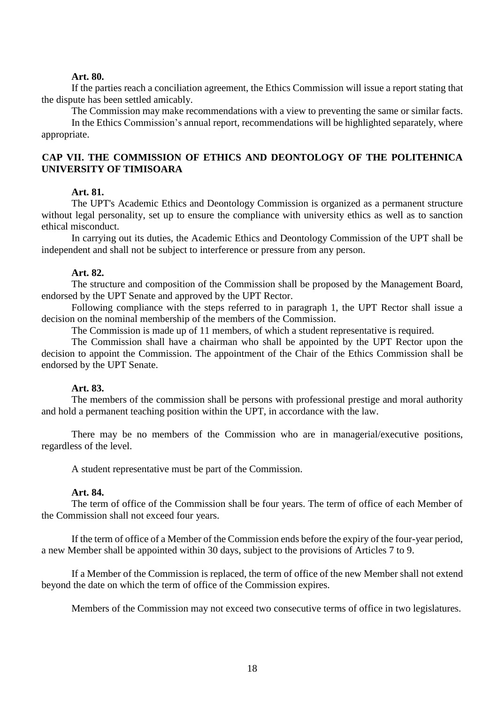#### **Art. 80.**

If the parties reach a conciliation agreement, the Ethics Commission will issue a report stating that the dispute has been settled amicably.

The Commission may make recommendations with a view to preventing the same or similar facts. In the Ethics Commission's annual report, recommendations will be highlighted separately, where appropriate.

# **CAP VII. THE COMMISSION OF ETHICS AND DEONTOLOGY OF THE POLITEHNICA UNIVERSITY OF TIMISOARA**

#### **Art. 81.**

The UPT's Academic Ethics and Deontology Commission is organized as a permanent structure without legal personality, set up to ensure the compliance with university ethics as well as to sanction ethical misconduct.

In carrying out its duties, the Academic Ethics and Deontology Commission of the UPT shall be independent and shall not be subject to interference or pressure from any person.

#### **Art. 82.**

The structure and composition of the Commission shall be proposed by the Management Board, endorsed by the UPT Senate and approved by the UPT Rector.

Following compliance with the steps referred to in paragraph 1, the UPT Rector shall issue a decision on the nominal membership of the members of the Commission.

The Commission is made up of 11 members, of which a student representative is required.

The Commission shall have a chairman who shall be appointed by the UPT Rector upon the decision to appoint the Commission. The appointment of the Chair of the Ethics Commission shall be endorsed by the UPT Senate.

#### **Art. 83.**

The members of the commission shall be persons with professional prestige and moral authority and hold a permanent teaching position within the UPT, in accordance with the law.

There may be no members of the Commission who are in managerial/executive positions, regardless of the level.

A student representative must be part of the Commission.

#### **Art. 84.**

The term of office of the Commission shall be four years. The term of office of each Member of the Commission shall not exceed four years.

If the term of office of a Member of the Commission ends before the expiry of the four-year period, a new Member shall be appointed within 30 days, subject to the provisions of Articles 7 to 9.

If a Member of the Commission is replaced, the term of office of the new Member shall not extend beyond the date on which the term of office of the Commission expires.

Members of the Commission may not exceed two consecutive terms of office in two legislatures.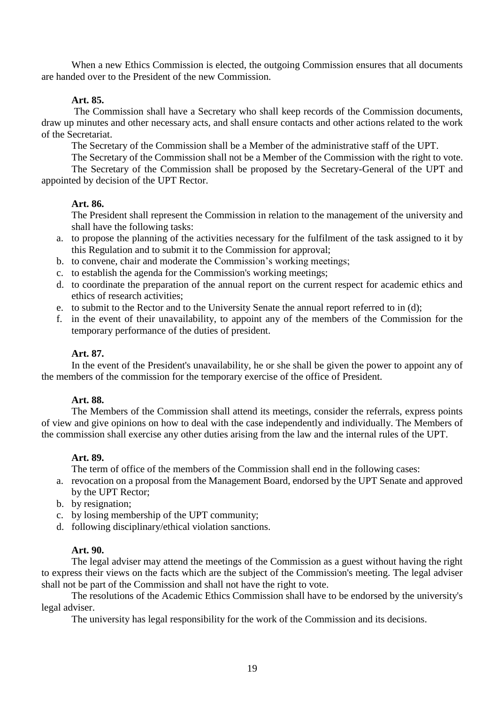When a new Ethics Commission is elected, the outgoing Commission ensures that all documents are handed over to the President of the new Commission.

# **Art. 85.**

The Commission shall have a Secretary who shall keep records of the Commission documents, draw up minutes and other necessary acts, and shall ensure contacts and other actions related to the work of the Secretariat.

The Secretary of the Commission shall be a Member of the administrative staff of the UPT.

The Secretary of the Commission shall not be a Member of the Commission with the right to vote. The Secretary of the Commission shall be proposed by the Secretary-General of the UPT and appointed by decision of the UPT Rector.

# **Art. 86.**

The President shall represent the Commission in relation to the management of the university and shall have the following tasks:

- a. to propose the planning of the activities necessary for the fulfilment of the task assigned to it by this Regulation and to submit it to the Commission for approval;
- b. to convene, chair and moderate the Commission's working meetings;
- c. to establish the agenda for the Commission's working meetings;
- d. to coordinate the preparation of the annual report on the current respect for academic ethics and ethics of research activities;
- e. to submit to the Rector and to the University Senate the annual report referred to in (d);
- f. in the event of their unavailability, to appoint any of the members of the Commission for the temporary performance of the duties of president.

# **Art. 87.**

In the event of the President's unavailability, he or she shall be given the power to appoint any of the members of the commission for the temporary exercise of the office of President.

# **Art. 88.**

The Members of the Commission shall attend its meetings, consider the referrals, express points of view and give opinions on how to deal with the case independently and individually. The Members of the commission shall exercise any other duties arising from the law and the internal rules of the UPT.

# **Art. 89.**

The term of office of the members of the Commission shall end in the following cases:

- a. revocation on a proposal from the Management Board, endorsed by the UPT Senate and approved by the UPT Rector;
- b. by resignation;
- c. by losing membership of the UPT community;
- d. following disciplinary/ethical violation sanctions.

# **Art. 90.**

The legal adviser may attend the meetings of the Commission as a guest without having the right to express their views on the facts which are the subject of the Commission's meeting. The legal adviser shall not be part of the Commission and shall not have the right to vote.

The resolutions of the Academic Ethics Commission shall have to be endorsed by the university's legal adviser.

The university has legal responsibility for the work of the Commission and its decisions.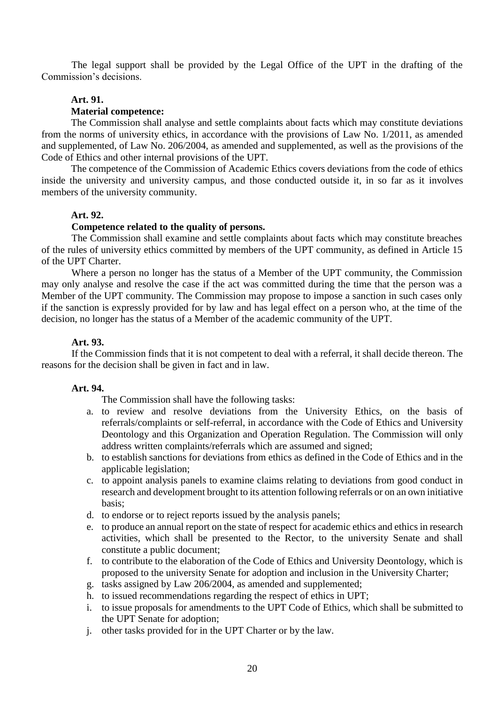The legal support shall be provided by the Legal Office of the UPT in the drafting of the Commission's decisions.

# **Art. 91.**

#### **Material competence:**

The Commission shall analyse and settle complaints about facts which may constitute deviations from the norms of university ethics, in accordance with the provisions of Law No. 1/2011, as amended and supplemented, of Law No. 206/2004, as amended and supplemented, as well as the provisions of the Code of Ethics and other internal provisions of the UPT.

The competence of the Commission of Academic Ethics covers deviations from the code of ethics inside the university and university campus, and those conducted outside it, in so far as it involves members of the university community.

# **Art. 92.**

# **Competence related to the quality of persons.**

The Commission shall examine and settle complaints about facts which may constitute breaches of the rules of university ethics committed by members of the UPT community, as defined in Article 15 of the UPT Charter.

Where a person no longer has the status of a Member of the UPT community, the Commission may only analyse and resolve the case if the act was committed during the time that the person was a Member of the UPT community. The Commission may propose to impose a sanction in such cases only if the sanction is expressly provided for by law and has legal effect on a person who, at the time of the decision, no longer has the status of a Member of the academic community of the UPT.

#### **Art. 93.**

If the Commission finds that it is not competent to deal with a referral, it shall decide thereon. The reasons for the decision shall be given in fact and in law.

#### **Art. 94.**

The Commission shall have the following tasks:

- a. to review and resolve deviations from the University Ethics, on the basis of referrals/complaints or self-referral, in accordance with the Code of Ethics and University Deontology and this Organization and Operation Regulation. The Commission will only address written complaints/referrals which are assumed and signed;
- b. to establish sanctions for deviations from ethics as defined in the Code of Ethics and in the applicable legislation;
- c. to appoint analysis panels to examine claims relating to deviations from good conduct in research and development brought to its attention following referrals or on an own initiative basis;
- d. to endorse or to reject reports issued by the analysis panels;
- e. to produce an annual report on the state of respect for academic ethics and ethics in research activities, which shall be presented to the Rector, to the university Senate and shall constitute a public document;
- f. to contribute to the elaboration of the Code of Ethics and University Deontology, which is proposed to the university Senate for adoption and inclusion in the University Charter;
- g. tasks assigned by Law 206/2004, as amended and supplemented;
- h. to issued recommendations regarding the respect of ethics in UPT;
- i. to issue proposals for amendments to the UPT Code of Ethics, which shall be submitted to the UPT Senate for adoption;
- j. other tasks provided for in the UPT Charter or by the law.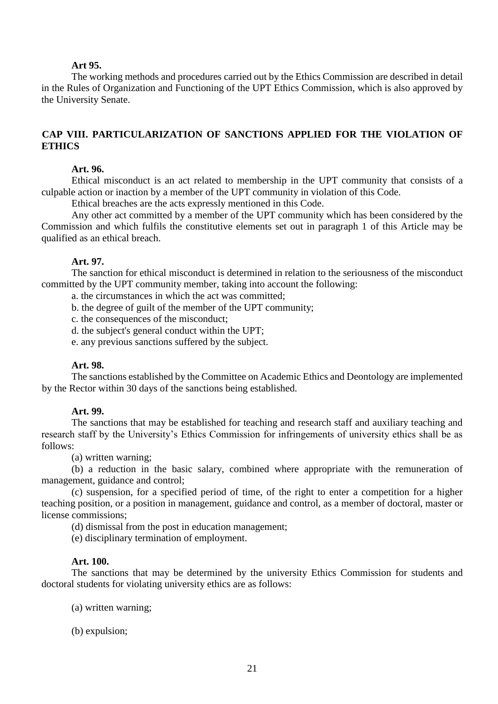#### **Art 95.**

The working methods and procedures carried out by the Ethics Commission are described in detail in the Rules of Organization and Functioning of the UPT Ethics Commission, which is also approved by the University Senate.

# **CAP VIII. PARTICULARIZATION OF SANCTIONS APPLIED FOR THE VIOLATION OF ETHICS**

#### **Art. 96.**

Ethical misconduct is an act related to membership in the UPT community that consists of a culpable action or inaction by a member of the UPT community in violation of this Code.

Ethical breaches are the acts expressly mentioned in this Code.

Any other act committed by a member of the UPT community which has been considered by the Commission and which fulfils the constitutive elements set out in paragraph 1 of this Article may be qualified as an ethical breach.

#### **Art. 97.**

The sanction for ethical misconduct is determined in relation to the seriousness of the misconduct committed by the UPT community member, taking into account the following:

a. the circumstances in which the act was committed;

- b. the degree of guilt of the member of the UPT community;
- c. the consequences of the misconduct;
- d. the subject's general conduct within the UPT;
- e. any previous sanctions suffered by the subject.

#### **Art. 98.**

The sanctions established by the Committee on Academic Ethics and Deontology are implemented by the Rector within 30 days of the sanctions being established.

#### **Art. 99.**

The sanctions that may be established for teaching and research staff and auxiliary teaching and research staff by the University's Ethics Commission for infringements of university ethics shall be as follows:

(a) written warning;

(b) a reduction in the basic salary, combined where appropriate with the remuneration of management, guidance and control;

(c) suspension, for a specified period of time, of the right to enter a competition for a higher teaching position, or a position in management, guidance and control, as a member of doctoral, master or license commissions;

(d) dismissal from the post in education management;

(e) disciplinary termination of employment.

#### **Art. 100.**

The sanctions that may be determined by the university Ethics Commission for students and doctoral students for violating university ethics are as follows:

- (a) written warning;
- (b) expulsion;